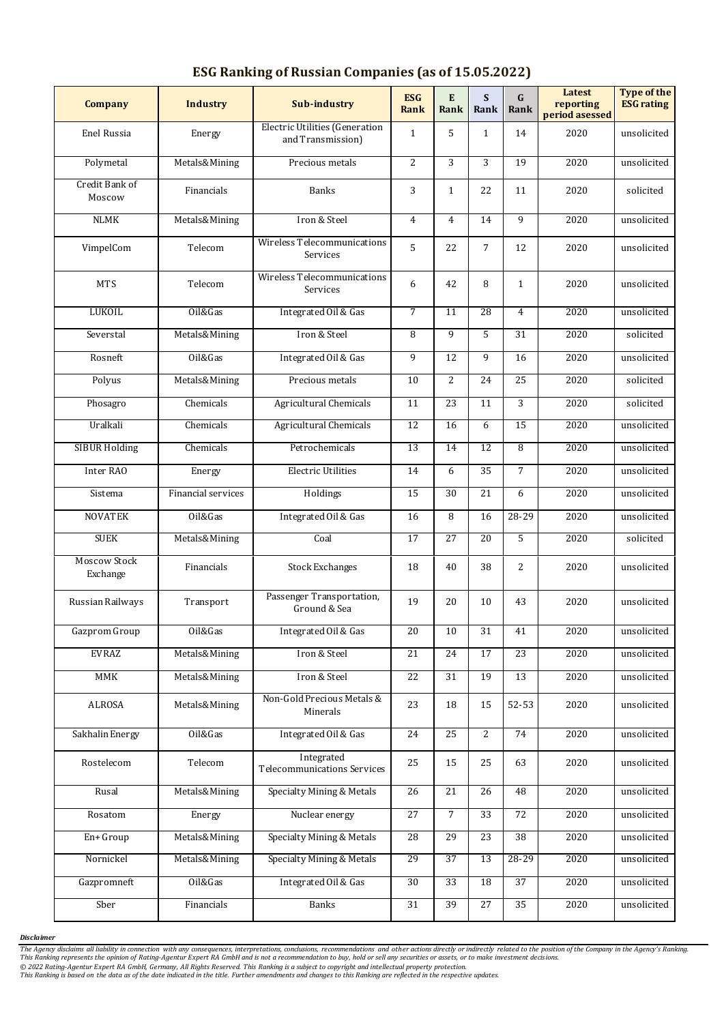| <b>Company</b>                  | <b>Industry</b>    | <b>Sub-industry</b>                                        | <b>ESG</b><br>Rank | E<br>Rank       | S<br>Rank       | $\mathbf G$<br>Rank | Latest<br>reporting<br>period asessed | <b>Type of the</b><br><b>ESG rating</b> |
|---------------------------------|--------------------|------------------------------------------------------------|--------------------|-----------------|-----------------|---------------------|---------------------------------------|-----------------------------------------|
| Enel Russia                     | Energy             | <b>Electric Utilities (Generation</b><br>and Transmission) | $\mathbf{1}$       | 5               | $\mathbf{1}$    | 14                  | 2020                                  | unsolicited                             |
| Polymetal                       | Metals&Mining      | Precious metals                                            | $\overline{2}$     | $\overline{3}$  | 3               | 19                  | 2020                                  | unsolicited                             |
| Credit Bank of<br>Moscow        | Financials         | <b>Banks</b>                                               | 3                  | $\mathbf{1}$    | 22              | 11                  | 2020                                  | solicited                               |
| <b>NLMK</b>                     | Metals&Mining      | Iron & Steel                                               | $\overline{4}$     | $\overline{4}$  | 14              | 9                   | 2020                                  | unsolicited                             |
| VimpelCom                       | Telecom            | Wireless Telecommunications<br>Services                    | 5                  | 22              | $\overline{7}$  | 12                  | 2020                                  | unsolicited                             |
| <b>MTS</b>                      | Telecom            | Wireless Telecommunications<br>Services                    | 6                  | 42              | 8               | $\mathbf{1}$        | 2020                                  | unsolicited                             |
| <b>LUKOIL</b>                   | Oil&Gas            | Integrated Oil & Gas                                       | 7                  | 11              | 28              | $\overline{4}$      | 2020                                  | unsolicited                             |
| Severstal                       | Metals&Mining      | Iron & Steel                                               | 8                  | 9               | 5               | 31                  | 2020                                  | solicited                               |
| Rosneft                         | Oil&Gas            | Integrated Oil & Gas                                       | 9                  | 12              | 9               | 16                  | 2020                                  | unsolicited                             |
| Polyus                          | Metals&Mining      | Precious metals                                            | 10                 | $\overline{2}$  | 24              | 25                  | 2020                                  | solicited                               |
| Phosagro                        | Chemicals          | Agricultural Chemicals                                     | 11                 | 23              | 11              | 3                   | 2020                                  | solicited                               |
| Uralkali                        | Chemicals          | <b>Agricultural Chemicals</b>                              | $\overline{12}$    | 16              | 6               | 15                  | 2020                                  | unsolicited                             |
| <b>SIBUR Holding</b>            | Chemicals          | Petrochemicals                                             | 13                 | 14              | 12              | 8                   | 2020                                  | unsolicited                             |
| Inter RAO                       | Energy             | <b>Electric Utilities</b>                                  | 14                 | 6               | 35              | $\overline{7}$      | 2020                                  | unsolicited                             |
| Sistema                         | Financial services | Holdings                                                   | 15                 | 30              | 21              | 6                   | 2020                                  | unsolicited                             |
| <b>NOVATEK</b>                  | Oil&Gas            | Integrated Oil & Gas                                       | 16                 | 8               | 16              | 28-29               | 2020                                  | unsolicited                             |
| <b>SUEK</b>                     | Metals&Mining      | Coal                                                       | 17                 | 27              | $\overline{20}$ | 5                   | 2020                                  | solicited                               |
| <b>Moscow Stock</b><br>Exchange | Financials         | <b>Stock Exchanges</b>                                     | 18                 | 40              | 38              | 2                   | 2020                                  | unsolicited                             |
| Russian Railways                | Transport          | Passenger Transportation,<br>Ground & Sea                  | 19                 | 20              | 10              | 43                  | 2020                                  | unsolicited                             |
| Gazprom Group                   | Oil&Gas            | Integrated Oil & Gas                                       | 20                 | 10              | $\overline{31}$ | 41                  | 2020                                  | unsolicited                             |
| <b>EVRAZ</b>                    | Metals&Mining      | Iron & Steel                                               | 21                 | 24              | 17              | 23                  | 2020                                  | unsolicited                             |
| <b>MMK</b>                      | Metals&Mining      | Iron & Steel                                               | 22                 | 31              | 19              | 13                  | 2020                                  | unsolicited                             |
| ALROSA                          | Metals&Mining      | Non-Gold Precious Metals &<br>Minerals                     | 23                 | 18              | 15              | 52-53               | 2020                                  | unsolicited                             |
| Sakhalin Energy                 | Oil&Gas            | Integrated Oil & Gas                                       | 24                 | 25              | $\overline{c}$  | 74                  | 2020                                  | unsolicited                             |
| Rostelecom                      | Telecom            | Integrated<br><b>Telecommunications Services</b>           | 25                 | 15              | 25              | 63                  | 2020                                  | unsolicited                             |
| Rusal                           | Metals&Mining      | Specialty Mining & Metals                                  | 26                 | 21              | 26              | 48                  | 2020                                  | unsolicited                             |
| Rosatom                         | Energy             | Nuclear energy                                             | 27                 | $\overline{7}$  | 33              | 72                  | 2020                                  | unsolicited                             |
| En+ Group                       | Metals&Mining      | Specialty Mining & Metals                                  | $\overline{28}$    | 29              | 23              | 38                  | 2020                                  | unsolicited                             |
| Nornickel                       | Metals&Mining      | Specialty Mining & Metals                                  | 29                 | $\overline{37}$ | $\overline{13}$ | $28 - 29$           | 2020                                  | unsolicited                             |
| Gazpromneft                     | Oil&Gas            | Integrated Oil & Gas                                       | 30                 | 33              | 18              | 37                  | 2020                                  | unsolicited                             |
| Sber                            | Financials         | <b>Banks</b>                                               | $\overline{31}$    | 39              | 27              | $\overline{35}$     | 2020                                  | unsolicited                             |

## **ESG Ranking of Russian Companies (as of 15.05.2022)**

*Disclaimer*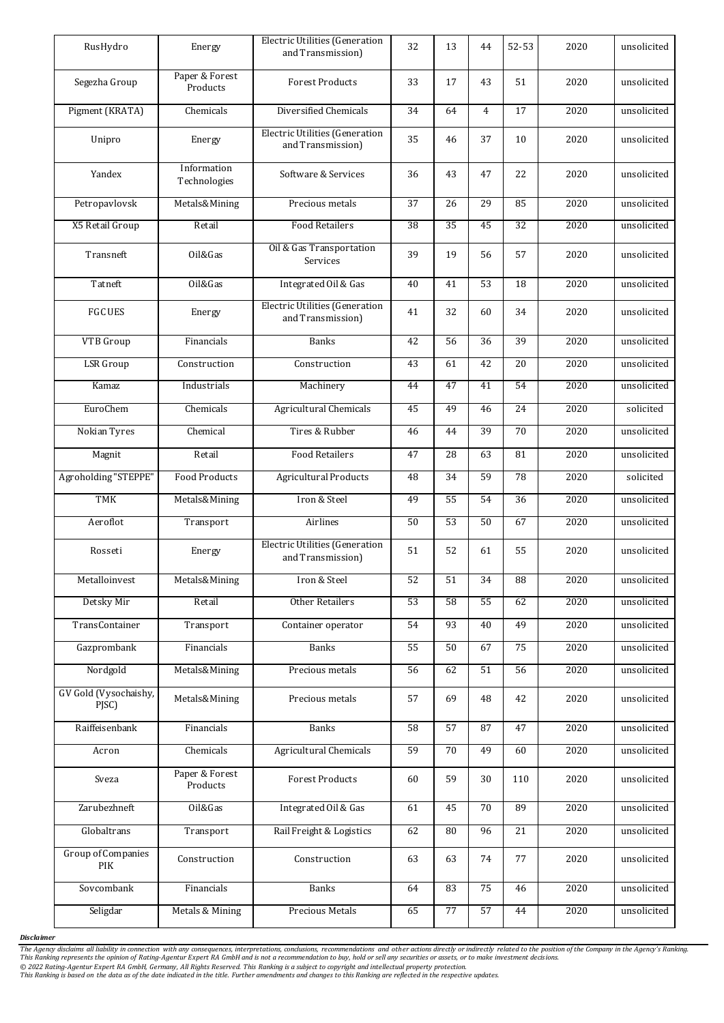| RusHydro                         | Energy                      | <b>Electric Utilities (Generation</b><br>and Transmission) | 32 | 13              | 44              | $52 - 53$       | 2020             | unsolicited |
|----------------------------------|-----------------------------|------------------------------------------------------------|----|-----------------|-----------------|-----------------|------------------|-------------|
| Segezha Group                    | Paper & Forest<br>Products  | <b>Forest Products</b>                                     | 33 | 17              | 43              | 51              | 2020             | unsolicited |
| Pigment (KRATA)                  | Chemicals                   | Diversified Chemicals                                      | 34 | 64              | $\overline{4}$  | 17              | 2020             | unsolicited |
| Unipro                           | Energy                      | <b>Electric Utilities (Generation</b><br>and Transmission) | 35 | 46              | 37              | 10              | 2020             | unsolicited |
| Yandex                           | Information<br>Technologies | Software & Services                                        | 36 | 43              | 47              | 22              | 2020             | unsolicited |
| Petropavlovsk                    | Metals&Mining               | Precious metals                                            | 37 | 26              | 29              | 85              | 2020             | unsolicited |
| X5 Retail Group                  | Retail                      | <b>Food Retailers</b>                                      | 38 | 35              | 45              | 32              | 2020             | unsolicited |
| Transneft                        | Oil&Gas                     | Oil & Gas Transportation<br>Services                       | 39 | 19              | 56              | 57              | 2020             | unsolicited |
| Tatneft                          | Oil&Gas                     | Integrated Oil & Gas                                       | 40 | 41              | 53              | 18              | 2020             | unsolicited |
| <b>FGC UES</b>                   | Energy                      | <b>Electric Utilities (Generation</b><br>and Transmission) | 41 | 32              | 60              | 34              | 2020             | unsolicited |
| VTB Group                        | Financials                  | <b>Banks</b>                                               | 42 | 56              | 36              | 39              | 2020             | unsolicited |
| <b>LSR</b> Group                 | Construction                | Construction                                               | 43 | 61              | 42              | 20              | 2020             | unsolicited |
| Kamaz                            | Industrials                 | Machinery                                                  | 44 | 47              | 41              | 54              | 2020             | unsolicited |
| EuroChem                         | Chemicals                   | Agricultural Chemicals                                     | 45 | 49              | 46              | 24              | 2020             | solicited   |
| Nokian Tyres                     | Chemical                    | Tires & Rubber                                             | 46 | 44              | 39              | 70              | 2020             | unsolicited |
| Magnit                           | Retail                      | <b>Food Retailers</b>                                      | 47 | 28              | 63              | 81              | 2020             | unsolicited |
| Agroholding "STEPPE"             | <b>Food Products</b>        | <b>Agricultural Products</b>                               | 48 | 34              | 59              | 78              | 2020             | solicited   |
| TMK                              | Metals&Mining               | Iron & Steel                                               | 49 | 55              | 54              | 36              | 2020             | unsolicited |
| Aeroflot                         | Transport                   | Airlines                                                   | 50 | 53              | 50              | 67              | 2020             | unsolicited |
| Rosseti                          | Energy                      | <b>Electric Utilities (Generation</b><br>and Transmission) | 51 | 52              | 61              | 55              | 2020             | unsolicited |
| Metalloinvest                    | Metals&Mining               | Iron & Steel                                               | 52 | 51              | 34              | $\overline{88}$ | 2020             | unsolicited |
| Detsky Mir                       | Retail                      | <b>Other Retailers</b>                                     | 53 | $\overline{58}$ | 55              | 62              | 2020             | unsolicited |
| TransContainer                   | Transport                   | Container operator                                         | 54 | 93              | 40              | 49              | 2020             | unsolicited |
| Gazprombank                      | Financials                  | <b>Banks</b>                                               | 55 | 50              | 67              | 75              | 2020             | unsolicited |
| Nordgold                         | Metals&Mining               | Precious metals                                            | 56 | 62              | 51              | 56              | 2020             | unsolicited |
| GV Gold (Vysochaishy,<br>PJSC)   | Metals&Mining               | Precious metals                                            | 57 | 69              | 48              | 42              | 2020             | unsolicited |
| Raiffeisenbank                   | Financials                  | <b>Banks</b>                                               | 58 | 57              | 87              | 47              | 2020             | unsolicited |
| Acron                            | Chemicals                   | <b>Agricultural Chemicals</b>                              | 59 | 70              | 49              | 60              | 2020             | unsolicited |
| Sveza                            | Paper & Forest<br>Products  | <b>Forest Products</b>                                     | 60 | 59              | 30              | 110             | 2020             | unsolicited |
| Zarubezhneft                     | Oil&Gas                     | Integrated Oil & Gas                                       | 61 | 45              | 70              | 89              | 2020             | unsolicited |
| Globaltrans                      | Transport                   | Rail Freight & Logistics                                   | 62 | 80              | $\overline{96}$ | $\overline{21}$ | 2020             | unsolicited |
| <b>Group of Companies</b><br>PIK | Construction                | Construction                                               | 63 | 63              | 74              | 77              | 2020             | unsolicited |
| Sovcombank                       | Financials                  | <b>Banks</b>                                               | 64 | 83              | 75              | 46              | $\frac{1}{2020}$ | unsolicited |
| Seligdar                         | Metals & Mining             | Precious Metals                                            | 65 | $\overline{77}$ | $\overline{57}$ | 44              | 2020             | unsolicited |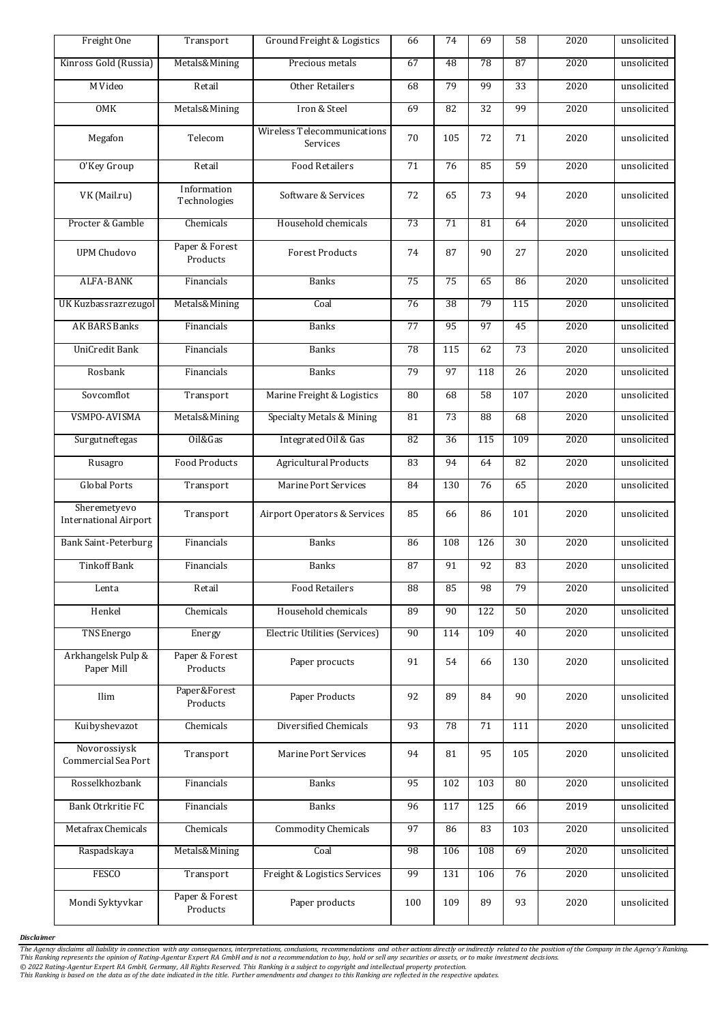| Freight One                                  | Transport                   | Ground Freight & Logistics                     | 66  | 74  | 69  | 58         | 2020             | unsolicited |
|----------------------------------------------|-----------------------------|------------------------------------------------|-----|-----|-----|------------|------------------|-------------|
| Kinross Gold (Russia)                        | Metals&Mining               | Precious metals                                | 67  | 48  | 78  | 87         | 2020             | unsolicited |
| M Video                                      | Retail                      | <b>Other Retailers</b>                         | 68  | 79  | 99  | 33         | 2020             | unsolicited |
| OMK                                          | Metals&Mining               | Iron & Steel                                   | 69  | 82  | 32  | 99         | 2020             | unsolicited |
| Megafon                                      | Telecom                     | <b>Wireless Telecommunications</b><br>Services | 70  | 105 | 72  | 71         | 2020             | unsolicited |
| O'Key Group                                  | Retail                      | <b>Food Retailers</b>                          | 71  | 76  | 85  | 59         | 2020             | unsolicited |
| VK (Mail.ru)                                 | Information<br>Technologies | Software & Services                            | 72  | 65  | 73  | 94         | 2020             | unsolicited |
| Procter & Gamble                             | Chemicals                   | Household chemicals                            | 73  | 71  | 81  | 64         | 2020             | unsolicited |
| <b>UPM Chudovo</b>                           | Paper & Forest<br>Products  | <b>Forest Products</b>                         | 74  | 87  | 90  | 27         | 2020             | unsolicited |
| <b>ALFA-BANK</b>                             | Financials                  | <b>Banks</b>                                   | 75  | 75  | 65  | 86         | 2020             | unsolicited |
| UK Kuzbassrazrezugol                         | Metals&Mining               | Coal                                           | 76  | 38  | 79  | 115        | 2020             | unsolicited |
| <b>AK BARS Banks</b>                         | Financials                  | <b>Banks</b>                                   | 77  | 95  | 97  | 45         | 2020             | unsolicited |
| <b>UniCredit Bank</b>                        | Financials                  | <b>Banks</b>                                   | 78  | 115 | 62  | 73         | 2020             | unsolicited |
| Rosbank                                      | Financials                  | <b>Banks</b>                                   | 79  | 97  | 118 | 26         | 2020             | unsolicited |
| Sovcomflot                                   | Transport                   | Marine Freight & Logistics                     | 80  | 68  | 58  | 107        | 2020             | unsolicited |
| VSMPO-AVISMA                                 | Metals&Mining               | Specialty Metals & Mining                      | 81  | 73  | 88  | 68         | 2020             | unsolicited |
| Surgutneftegas                               | Oil&Gas                     | Integrated Oil & Gas                           | 82  | 36  | 115 | 109        | 2020             | unsolicited |
| Rusagro                                      | <b>Food Products</b>        | <b>Agricultural Products</b>                   | 83  | 94  | 64  | 82         | 2020             | unsolicited |
| <b>Global Ports</b>                          | Transport                   | Marine Port Services                           | 84  | 130 | 76  | 65         | $\frac{1}{2020}$ | unsolicited |
| Sheremetyevo<br><b>International Airport</b> | Transport                   | Airport Operators & Services                   | 85  | 66  | 86  | 101        | 2020             | unsolicited |
| <b>Bank Saint-Peterburg</b>                  | Financials                  | <b>Banks</b>                                   | 86  | 108 | 126 | 30         | 2020             | unsolicited |
| <b>Tinkoff Bank</b>                          | Financials                  | <b>Banks</b>                                   | 87  | 91  | 92  | 83         | 2020             | unsolicited |
| Lenta                                        | Retail                      | <b>Food Retailers</b>                          | 88  | 85  | 98  | 79         | 2020             | unsolicited |
| Henkel                                       | Chemicals                   | Household chemicals                            | 89  | 90  | 122 | 50         | 2020             | unsolicited |
| <b>TNS</b> Energo                            | Energy                      | Electric Utilities (Services)                  | 90  | 114 | 109 | 40         | 2020             | unsolicited |
| Arkhangelsk Pulp &<br>Paper Mill             | Paper & Forest<br>Products  | Paper procucts                                 | 91  | 54  | 66  | 130        | 2020             | unsolicited |
| Ilim                                         | Paper&Forest<br>Products    | Paper Products                                 | 92  | 89  | 84  | 90         | 2020             | unsolicited |
| Kuibyshevazot                                | Chemicals                   | Diversified Chemicals                          | 93  | 78  | 71  | 111        | 2020             | unsolicited |
| Novorossiysk<br>Commercial Sea Port          | Transport                   | Marine Port Services                           | 94  | 81  | 95  | 105        | 2020             | unsolicited |
| Rosselkhozbank                               | Financials                  | <b>Banks</b>                                   | 95  | 102 | 103 | 80         | 2020             | unsolicited |
| <b>Bank Otrkritie FC</b>                     | Financials                  | <b>Banks</b>                                   | 96  | 117 | 125 | 66         | 2019             | unsolicited |
| Metafrax Chemicals                           | Chemicals                   | <b>Commodity Chemicals</b>                     | 97  | 86  | 83  | <b>103</b> | 2020             | unsolicited |
| Raspadskaya                                  | Metals&Mining               | Coal                                           | 98  | 106 | 108 | 69         | 2020             | unsolicited |
| <b>FESCO</b>                                 | Transport                   | Freight & Logistics Services                   | 99  | 131 | 106 | 76         | 2020             | unsolicited |
| Mondi Syktyvkar                              | Paper & Forest<br>Products  | Paper products                                 | 100 | 109 | 89  | 93         | 2020             | unsolicited |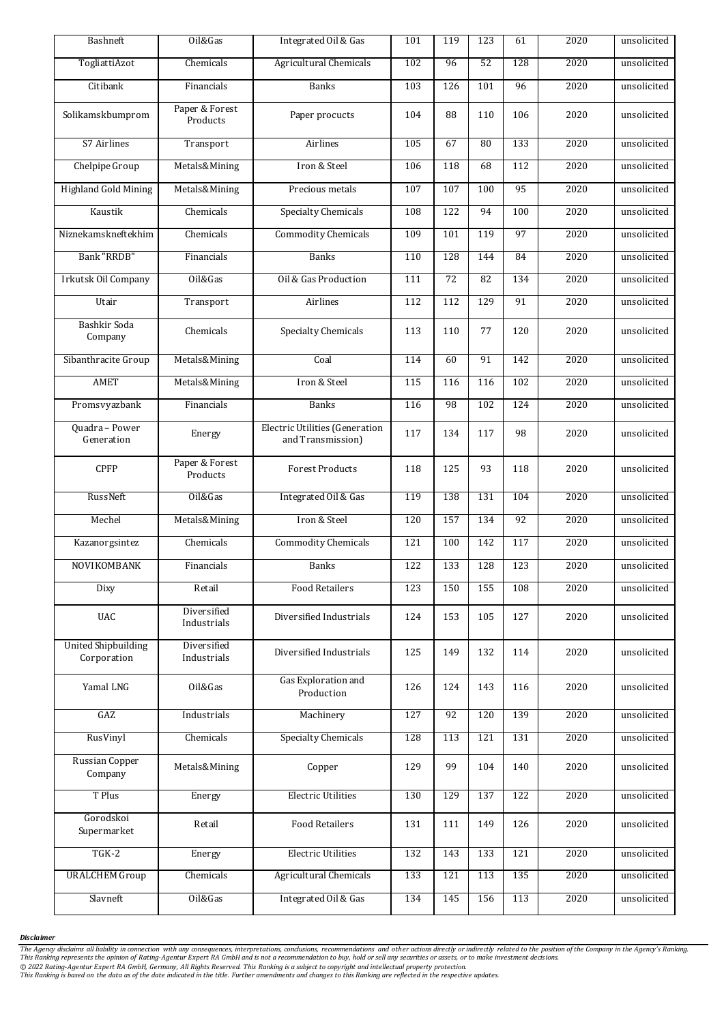| Bashneft                                  | Oil&Gas                    | Integrated Oil & Gas                                       | 101 | 119 | 123 | 61  | 2020 | unsolicited |
|-------------------------------------------|----------------------------|------------------------------------------------------------|-----|-----|-----|-----|------|-------------|
| TogliattiAzot                             | Chemicals                  | Agricultural Chemicals                                     | 102 | 96  | 52  | 128 | 2020 | unsolicited |
| Citibank                                  | Financials                 | <b>Banks</b>                                               | 103 | 126 | 101 | 96  | 2020 | unsolicited |
| Solikamskbumprom                          | Paper & Forest<br>Products | Paper procucts                                             | 104 | 88  | 110 | 106 | 2020 | unsolicited |
| S7 Airlines                               | Transport                  | Airlines                                                   | 105 | 67  | 80  | 133 | 2020 | unsolicited |
| Chelpipe Group                            | Metals&Mining              | Iron & Steel                                               | 106 | 118 | 68  | 112 | 2020 | unsolicited |
| <b>Highland Gold Mining</b>               | Metals&Mining              | Precious metals                                            | 107 | 107 | 100 | 95  | 2020 | unsolicited |
| Kaustik                                   | Chemicals                  | <b>Specialty Chemicals</b>                                 | 108 | 122 | 94  | 100 | 2020 | unsolicited |
| Niznekamskneftekhim                       | Chemicals                  | <b>Commodity Chemicals</b>                                 | 109 | 101 | 119 | 97  | 2020 | unsolicited |
| Bank "RRDB"                               | Financials                 | <b>Banks</b>                                               | 110 | 128 | 144 | 84  | 2020 | unsolicited |
| Irkutsk Oil Company                       | Oil&Gas                    | Oil & Gas Production                                       | 111 | 72  | 82  | 134 | 2020 | unsolicited |
| Utair                                     | Transport                  | Airlines                                                   | 112 | 112 | 129 | 91  | 2020 | unsolicited |
| Bashkir Soda<br>Company                   | Chemicals                  | Specialty Chemicals                                        | 113 | 110 | 77  | 120 | 2020 | unsolicited |
| Sibanthracite Group                       | Metals&Mining              | Coal                                                       | 114 | 60  | 91  | 142 | 2020 | unsolicited |
| <b>AMET</b>                               | Metals&Mining              | Iron & Steel                                               | 115 | 116 | 116 | 102 | 2020 | unsolicited |
| Promsvyazbank                             | Financials                 | <b>Banks</b>                                               | 116 | 98  | 102 | 124 | 2020 | unsolicited |
| Quadra - Power<br>Generation              | Energy                     | <b>Electric Utilities (Generation</b><br>and Transmission) | 117 | 134 | 117 | 98  | 2020 | unsolicited |
| <b>CPFP</b>                               | Paper & Forest<br>Products | <b>Forest Products</b>                                     | 118 | 125 | 93  | 118 | 2020 | unsolicited |
| RussNeft                                  | Oil&Gas                    | Integrated Oil & Gas                                       | 119 | 138 | 131 | 104 | 2020 | unsolicited |
| Mechel                                    | Metals&Mining              | Iron & Steel                                               | 120 | 157 | 134 | 92  | 2020 | unsolicited |
| Kazanorgsintez                            | Chemicals                  | <b>Commodity Chemicals</b>                                 | 121 | 100 | 142 | 117 | 2020 | unsolicited |
| NOVIKOMBANK                               | Financials                 | <b>Banks</b>                                               | 122 | 133 | 128 | 123 | 2020 | unsolicited |
| Dixy                                      | Retail                     | <b>Food Retailers</b>                                      | 123 | 150 | 155 | 108 | 2020 | unsolicited |
| <b>UAC</b>                                | Diversified<br>Industrials | Diversified Industrials                                    | 124 | 153 | 105 | 127 | 2020 | unsolicited |
| <b>United Shipbuilding</b><br>Corporation | Diversified<br>Industrials | Diversified Industrials                                    | 125 | 149 | 132 | 114 | 2020 | unsolicited |
| Yamal LNG                                 | Oil&Gas                    | Gas Exploration and<br>Production                          | 126 | 124 | 143 | 116 | 2020 | unsolicited |
| GAZ                                       | Industrials                | Machinery                                                  | 127 | 92  | 120 | 139 | 2020 | unsolicited |
| RusVinyl                                  | Chemicals                  | <b>Specialty Chemicals</b>                                 | 128 | 113 | 121 | 131 | 2020 | unsolicited |
| Russian Copper<br>Company                 | Metals&Mining              | Copper                                                     | 129 | 99  | 104 | 140 | 2020 | unsolicited |
| T Plus                                    | Energy                     | <b>Electric Utilities</b>                                  | 130 | 129 | 137 | 122 | 2020 | unsolicited |
| Gorodskoi<br>Supermarket                  | Retail                     | <b>Food Retailers</b>                                      | 131 | 111 | 149 | 126 | 2020 | unsolicited |
| $T$ GK-2                                  | Energy                     | <b>Electric Utilities</b>                                  | 132 | 143 | 133 | 121 | 2020 | unsolicited |
| <b>URALCHEM Group</b>                     | Chemicals                  | <b>Agricultural Chemicals</b>                              | 133 | 121 | 113 | 135 | 2020 | unsolicited |
| Slavneft                                  | Oil&Gas                    | Integrated Oil & Gas                                       | 134 | 145 | 156 | 113 | 2020 | unsolicited |